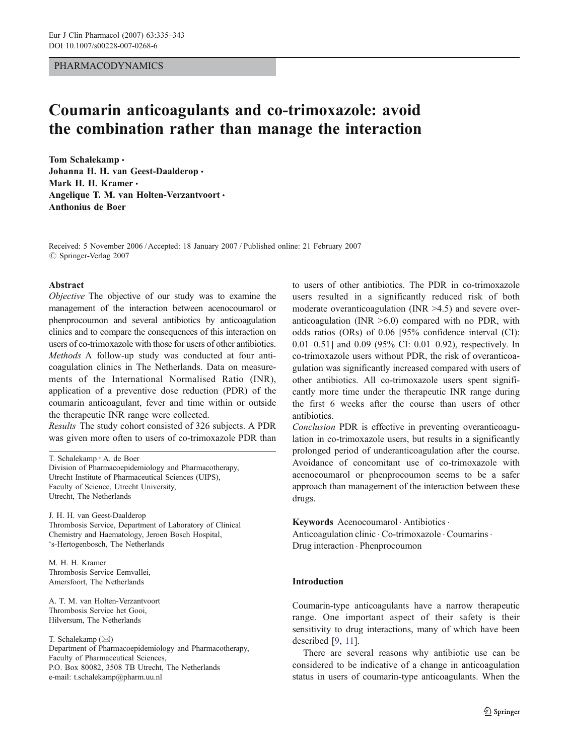## PHARMACODYNAMICS

# Coumarin anticoagulants and co-trimoxazole: avoid the combination rather than manage the interaction

Tom Schalekamp . Johanna H. H. van Geest-Daalderop · Mark H. H. Kramer · Angelique T. M. van Holten-Verzantvoort · Anthonius de Boer

Received: 5 November 2006 / Accepted: 18 January 2007 / Published online: 21 February 2007  $\circ$  Springer-Verlag 2007

## Abstract

Objective The objective of our study was to examine the management of the interaction between acenocoumarol or phenprocoumon and several antibiotics by anticoagulation clinics and to compare the consequences of this interaction on users of co-trimoxazole with those for users of other antibiotics. Methods A follow-up study was conducted at four anticoagulation clinics in The Netherlands. Data on measurements of the International Normalised Ratio (INR), application of a preventive dose reduction (PDR) of the coumarin anticoagulant, fever and time within or outside the therapeutic INR range were collected.

Results The study cohort consisted of 326 subjects. A PDR was given more often to users of co-trimoxazole PDR than

T. Schalekamp : A. de Boer Division of Pharmacoepidemiology and Pharmacotherapy, Utrecht Institute of Pharmaceutical Sciences (UIPS), Faculty of Science, Utrecht University, Utrecht, The Netherlands

J. H. H. van Geest-Daalderop Thrombosis Service, Department of Laboratory of Clinical Chemistry and Haematology, Jeroen Bosch Hospital, 's-Hertogenbosch, The Netherlands

M. H. H. Kramer Thrombosis Service Eemvallei, Amersfoort, The Netherlands

A. T. M. van Holten-Verzantvoort Thrombosis Service het Gooi, Hilversum, The Netherlands

T. Schalekamp  $(\boxtimes)$ Department of Pharmacoepidemiology and Pharmacotherapy, Faculty of Pharmaceutical Sciences, P.O. Box 80082, 3508 TB Utrecht, The Netherlands e-mail: t.schalekamp@pharm.uu.nl

to users of other antibiotics. The PDR in co-trimoxazole users resulted in a significantly reduced risk of both moderate overanticoagulation (INR >4.5) and severe overanticoagulation (INR  $>6.0$ ) compared with no PDR, with odds ratios (ORs) of 0.06 [95% confidence interval (CI): 0.01–0.51] and 0.09 (95% CI: 0.01–0.92), respectively. In co-trimoxazole users without PDR, the risk of overanticoagulation was significantly increased compared with users of other antibiotics. All co-trimoxazole users spent significantly more time under the therapeutic INR range during the first 6 weeks after the course than users of other antibiotics.

Conclusion PDR is effective in preventing overanticoagulation in co-trimoxazole users, but results in a significantly prolonged period of underanticoagulation after the course. Avoidance of concomitant use of co-trimoxazole with acenocoumarol or phenprocoumon seems to be a safer approach than management of the interaction between these drugs.

Keywords Acenocoumarol . Antibiotics . Anticoagulation clinic · Co-trimoxazole · Coumarins · Drug interaction . Phenprocoumon

# Introduction

Coumarin-type anticoagulants have a narrow therapeutic range. One important aspect of their safety is their sensitivity to drug interactions, many of which have been described [\[9](#page-7-0), [11\]](#page-7-0).

There are several reasons why antibiotic use can be considered to be indicative of a change in anticoagulation status in users of coumarin-type anticoagulants. When the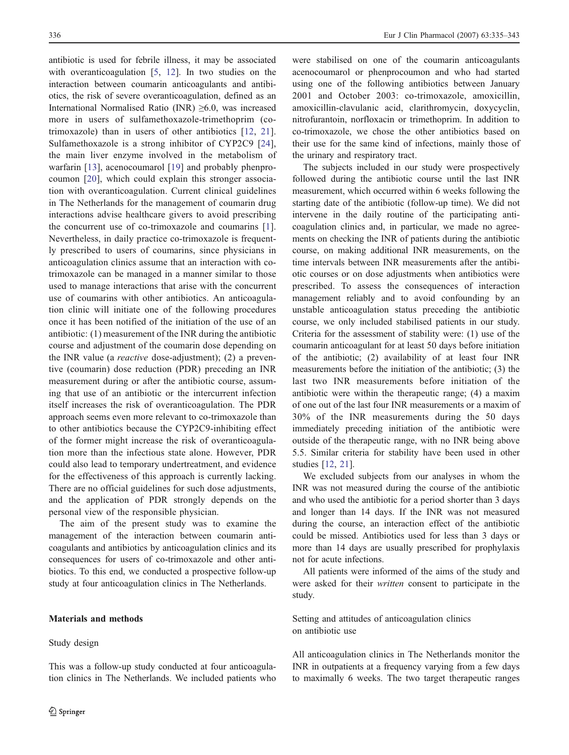antibiotic is used for febrile illness, it may be associated with overanticoagulation [\[5](#page-7-0), [12\]](#page-7-0). In two studies on the interaction between coumarin anticoagulants and antibiotics, the risk of severe overanticoagulation, defined as an International Normalised Ratio (INR) ≥6.0, was increased more in users of sulfamethoxazole-trimethoprim (cotrimoxazole) than in users of other antibiotics [[12,](#page-7-0) [21](#page-7-0)]. Sulfamethoxazole is a strong inhibitor of CYP2C9 [\[24](#page-8-0)], the main liver enzyme involved in the metabolism of warfarin [[13\]](#page-7-0), acenocoumarol [[19](#page-7-0)] and probably phenprocoumon [[20](#page-7-0)], which could explain this stronger association with overanticoagulation. Current clinical guidelines in The Netherlands for the management of coumarin drug interactions advise healthcare givers to avoid prescribing the concurrent use of co-trimoxazole and coumarins [\[1](#page-7-0)]. Nevertheless, in daily practice co-trimoxazole is frequently prescribed to users of coumarins, since physicians in anticoagulation clinics assume that an interaction with cotrimoxazole can be managed in a manner similar to those used to manage interactions that arise with the concurrent use of coumarins with other antibiotics. An anticoagulation clinic will initiate one of the following procedures once it has been notified of the initiation of the use of an antibiotic: (1) measurement of the INR during the antibiotic course and adjustment of the coumarin dose depending on the INR value (a reactive dose-adjustment); (2) a preventive (coumarin) dose reduction (PDR) preceding an INR measurement during or after the antibiotic course, assuming that use of an antibiotic or the intercurrent infection itself increases the risk of overanticoagulation. The PDR approach seems even more relevant to co-trimoxazole than to other antibiotics because the CYP2C9-inhibiting effect of the former might increase the risk of overanticoagulation more than the infectious state alone. However, PDR could also lead to temporary undertreatment, and evidence for the effectiveness of this approach is currently lacking. There are no official guidelines for such dose adjustments, and the application of PDR strongly depends on the personal view of the responsible physician.

The aim of the present study was to examine the management of the interaction between coumarin anticoagulants and antibiotics by anticoagulation clinics and its consequences for users of co-trimoxazole and other antibiotics. To this end, we conducted a prospective follow-up study at four anticoagulation clinics in The Netherlands.

This was a follow-up study conducted at four anticoagulation clinics in The Netherlands. We included patients who

## Materials and methods

## Study design

were stabilised on one of the coumarin anticoagulants acenocoumarol or phenprocoumon and who had started using one of the following antibiotics between January 2001 and October 2003: co-trimoxazole, amoxicillin, amoxicillin-clavulanic acid, clarithromycin, doxycyclin, nitrofurantoin, norfloxacin or trimethoprim. In addition to co-trimoxazole, we chose the other antibiotics based on their use for the same kind of infections, mainly those of the urinary and respiratory tract.

The subjects included in our study were prospectively followed during the antibiotic course until the last INR measurement, which occurred within 6 weeks following the starting date of the antibiotic (follow-up time). We did not intervene in the daily routine of the participating anticoagulation clinics and, in particular, we made no agreements on checking the INR of patients during the antibiotic course, on making additional INR measurements, on the time intervals between INR measurements after the antibiotic courses or on dose adjustments when antibiotics were prescribed. To assess the consequences of interaction management reliably and to avoid confounding by an unstable anticoagulation status preceding the antibiotic course, we only included stabilised patients in our study. Criteria for the assessment of stability were: (1) use of the coumarin anticoagulant for at least 50 days before initiation of the antibiotic; (2) availability of at least four INR measurements before the initiation of the antibiotic; (3) the last two INR measurements before initiation of the antibiotic were within the therapeutic range; (4) a maxim of one out of the last four INR measurements or a maxim of 30% of the INR measurements during the 50 days immediately preceding initiation of the antibiotic were outside of the therapeutic range, with no INR being above 5.5. Similar criteria for stability have been used in other studies [\[12](#page-7-0), [21\]](#page-7-0).

We excluded subjects from our analyses in whom the INR was not measured during the course of the antibiotic and who used the antibiotic for a period shorter than 3 days and longer than 14 days. If the INR was not measured during the course, an interaction effect of the antibiotic could be missed. Antibiotics used for less than 3 days or more than 14 days are usually prescribed for prophylaxis not for acute infections.

All patients were informed of the aims of the study and were asked for their *written* consent to participate in the study.

Setting and attitudes of anticoagulation clinics on antibiotic use

All anticoagulation clinics in The Netherlands monitor the INR in outpatients at a frequency varying from a few days to maximally 6 weeks. The two target therapeutic ranges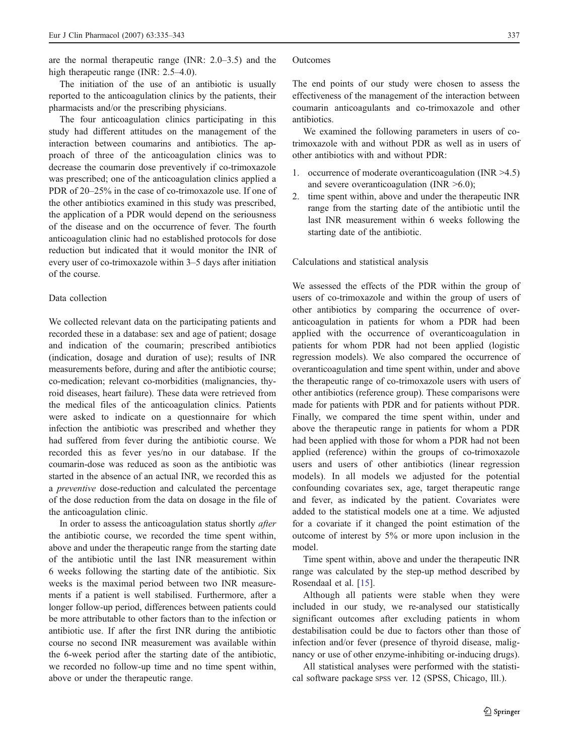are the normal therapeutic range (INR: 2.0–3.5) and the high therapeutic range (INR: 2.5–4.0).

The initiation of the use of an antibiotic is usually reported to the anticoagulation clinics by the patients, their pharmacists and/or the prescribing physicians.

The four anticoagulation clinics participating in this study had different attitudes on the management of the interaction between coumarins and antibiotics. The approach of three of the anticoagulation clinics was to decrease the coumarin dose preventively if co-trimoxazole was prescribed; one of the anticoagulation clinics applied a PDR of 20–25% in the case of co-trimoxazole use. If one of the other antibiotics examined in this study was prescribed, the application of a PDR would depend on the seriousness of the disease and on the occurrence of fever. The fourth anticoagulation clinic had no established protocols for dose reduction but indicated that it would monitor the INR of every user of co-trimoxazole within 3–5 days after initiation of the course.

# Data collection

We collected relevant data on the participating patients and recorded these in a database: sex and age of patient; dosage and indication of the coumarin; prescribed antibiotics (indication, dosage and duration of use); results of INR measurements before, during and after the antibiotic course; co-medication; relevant co-morbidities (malignancies, thyroid diseases, heart failure). These data were retrieved from the medical files of the anticoagulation clinics. Patients were asked to indicate on a questionnaire for which infection the antibiotic was prescribed and whether they had suffered from fever during the antibiotic course. We recorded this as fever yes/no in our database. If the coumarin-dose was reduced as soon as the antibiotic was started in the absence of an actual INR, we recorded this as a preventive dose-reduction and calculated the percentage of the dose reduction from the data on dosage in the file of the anticoagulation clinic.

In order to assess the anticoagulation status shortly *after* the antibiotic course, we recorded the time spent within, above and under the therapeutic range from the starting date of the antibiotic until the last INR measurement within 6 weeks following the starting date of the antibiotic. Six weeks is the maximal period between two INR measurements if a patient is well stabilised. Furthermore, after a longer follow-up period, differences between patients could be more attributable to other factors than to the infection or antibiotic use. If after the first INR during the antibiotic course no second INR measurement was available within the 6-week period after the starting date of the antibiotic, we recorded no follow-up time and no time spent within, above or under the therapeutic range.

## **Outcomes**

The end points of our study were chosen to assess the effectiveness of the management of the interaction between coumarin anticoagulants and co-trimoxazole and other antibiotics.

We examined the following parameters in users of cotrimoxazole with and without PDR as well as in users of other antibiotics with and without PDR:

- 1. occurrence of moderate overanticoagulation (INR >4.5) and severe overanticoagulation (INR >6.0);
- 2. time spent within, above and under the therapeutic INR range from the starting date of the antibiotic until the last INR measurement within 6 weeks following the starting date of the antibiotic.

#### Calculations and statistical analysis

We assessed the effects of the PDR within the group of users of co-trimoxazole and within the group of users of other antibiotics by comparing the occurrence of overanticoagulation in patients for whom a PDR had been applied with the occurrence of overanticoagulation in patients for whom PDR had not been applied (logistic regression models). We also compared the occurrence of overanticoagulation and time spent within, under and above the therapeutic range of co-trimoxazole users with users of other antibiotics (reference group). These comparisons were made for patients with PDR and for patients without PDR. Finally, we compared the time spent within, under and above the therapeutic range in patients for whom a PDR had been applied with those for whom a PDR had not been applied (reference) within the groups of co-trimoxazole users and users of other antibiotics (linear regression models). In all models we adjusted for the potential confounding covariates sex, age, target therapeutic range and fever, as indicated by the patient. Covariates were added to the statistical models one at a time. We adjusted for a covariate if it changed the point estimation of the outcome of interest by 5% or more upon inclusion in the model.

Time spent within, above and under the therapeutic INR range was calculated by the step-up method described by Rosendaal et al. [\[15](#page-7-0)].

Although all patients were stable when they were included in our study, we re-analysed our statistically significant outcomes after excluding patients in whom destabilisation could be due to factors other than those of infection and/or fever (presence of thyroid disease, malignancy or use of other enzyme-inhibiting or-inducing drugs).

All statistical analyses were performed with the statistical software package SPSS ver. 12 (SPSS, Chicago, Ill.).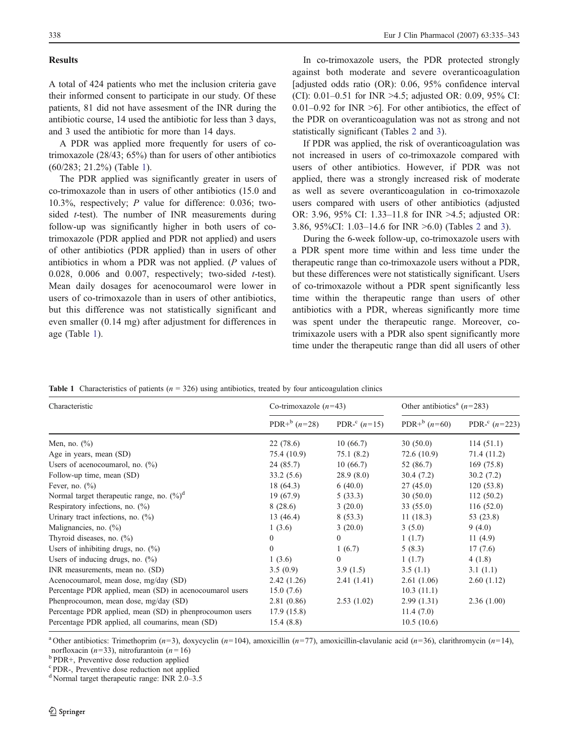## Results

A total of 424 patients who met the inclusion criteria gave their informed consent to participate in our study. Of these patients, 81 did not have assesment of the INR during the antibiotic course, 14 used the antibiotic for less than 3 days, and 3 used the antibiotic for more than 14 days.

A PDR was applied more frequently for users of cotrimoxazole (28/43; 65%) than for users of other antibiotics (60/283; 21.2%) (Table 1).

The PDR applied was significantly greater in users of co-trimoxazole than in users of other antibiotics (15.0 and 10.3%, respectively; P value for difference: 0.036; twosided *t*-test). The number of INR measurements during follow-up was significantly higher in both users of cotrimoxazole (PDR applied and PDR not applied) and users of other antibiotics (PDR applied) than in users of other antibiotics in whom a PDR was not applied.  $(P$  values of 0.028, 0.006 and 0.007, respectively; two-sided  $t$ -test). Mean daily dosages for acenocoumarol were lower in users of co-trimoxazole than in users of other antibiotics, but this difference was not statistically significant and even smaller (0.14 mg) after adjustment for differences in age (Table 1).

In co-trimoxazole users, the PDR protected strongly against both moderate and severe overanticoagulation [adjusted odds ratio (OR): 0.06, 95% confidence interval (CI): 0.01–0.51 for INR >4.5; adjusted OR: 0.09, 95% CI: 0.01–0.92 for INR >6]. For other antibiotics, the effect of the PDR on overanticoagulation was not as strong and not statistically significant (Tables [2](#page-4-0) and [3](#page-4-0)).

If PDR was applied, the risk of overanticoagulation was not increased in users of co-trimoxazole compared with users of other antibiotics. However, if PDR was not applied, there was a strongly increased risk of moderate as well as severe overanticoagulation in co-trimoxazole users compared with users of other antibiotics (adjusted OR: 3.96, 95% CI: 1.33–11.8 for INR >4.5; adjusted OR: 3.86, 95%CI: 1.03–14.6 for INR >6.0) (Tables [2](#page-4-0) and [3](#page-4-0)).

During the 6-week follow-up, co-trimoxazole users with a PDR spent more time within and less time under the therapeutic range than co-trimoxazole users without a PDR, but these differences were not statistically significant. Users of co-trimoxazole without a PDR spent significantly less time within the therapeutic range than users of other antibiotics with a PDR, whereas significantly more time was spent under the therapeutic range. Moreover, cotrimixazole users with a PDR also spent significantly more time under the therapeutic range than did all users of other

| <b>Table 1</b> Characteristics of patients ( $n = 326$ ) using antibiotics, treated by four anticoagulation clinics |  |  |  |  |
|---------------------------------------------------------------------------------------------------------------------|--|--|--|--|
|                                                                                                                     |  |  |  |  |

| Characteristic                                           | Co-trimoxazole $(n=43)$    |               | Other antibiotics <sup>a</sup> ( $n=283$ ) |                |  |
|----------------------------------------------------------|----------------------------|---------------|--------------------------------------------|----------------|--|
|                                                          | PDR <sup>+b</sup> $(n=28)$ | PDR- $(n=15)$ | PDR+ $^{b}$ (n=60)                         | PDR- $(n=223)$ |  |
| Men, no. $(\%)$                                          | 22(78.6)                   | 10(66.7)      | 30(50.0)                                   | 114(51.1)      |  |
| Age in years, mean (SD)                                  | 75.4 (10.9)                | 75.1(8.2)     | 72.6(10.9)                                 | 71.4 (11.2)    |  |
| Users of acenocoumarol, no. $(\%)$                       | 24 (85.7)                  | 10(66.7)      | 52 (86.7)                                  | 169 (75.8)     |  |
| Follow-up time, mean (SD)                                | 33.2(5.6)                  | 28.9(8.0)     | 30.4(7.2)                                  | 30.2(7.2)      |  |
| Fever, no. $(\%)$                                        | 18 (64.3)                  | 6(40.0)       | 27(45.0)                                   | 120(53.8)      |  |
| Normal target therapeutic range, no. $(\%)^d$            | 19(67.9)                   | 5(33.3)       | 30(50.0)                                   | 112(50.2)      |  |
| Respiratory infections, no. $(\%)$                       | 8(28.6)                    | 3(20.0)       | 33(55.0)                                   | 116(52.0)      |  |
| Urinary tract infections, no. $(\%)$                     | 13(46.4)                   | 8(53.3)       | 11(18.3)                                   | 53 (23.8)      |  |
| Malignancies, no. $(\%)$                                 | 1(3.6)                     | 3(20.0)       | 3(5.0)                                     | 9(4.0)         |  |
| Thyroid diseases, no. $(\%)$                             | $\Omega$                   | 0             | 1(1.7)                                     | 11(4.9)        |  |
| Users of inhibiting drugs, no. $(\%)$                    | $\Omega$                   | 1(6.7)        | 5(8.3)                                     | 17(7.6)        |  |
| Users of inducing drugs, no. $(\%)$                      | 1(3.6)                     | $\Omega$      | 1(1.7)                                     | 4(1.8)         |  |
| INR measurements, mean no. (SD)                          | 3.5(0.9)                   | 3.9(1.5)      | 3.5(1.1)                                   | 3.1(1.1)       |  |
| Acenocoumarol, mean dose, mg/day (SD)                    | 2.42(1.26)                 | 2.41(1.41)    | 2.61(1.06)                                 | 2.60(1.12)     |  |
| Percentage PDR applied, mean (SD) in acenocoumarol users | 15.0(7.6)                  |               | 10.3(11.1)                                 |                |  |
| Phenprocoumon, mean dose, mg/day (SD)                    | 2.81(0.86)                 | 2.53(1.02)    | 2.99(1.31)                                 | 2.36(1.00)     |  |
| Percentage PDR applied, mean (SD) in phenprocoumon users | 17.9(15.8)                 |               | 11.4(7.0)                                  |                |  |
| Percentage PDR applied, all coumarins, mean (SD)         | 15.4(8.8)                  |               | 10.5(10.6)                                 |                |  |

<sup>a</sup> Other antibiotics: Trimethoprim ( $n=3$ ), doxycyclin ( $n=104$ ), amoxicillin ( $n=77$ ), amoxicillin-clavulanic acid ( $n=36$ ), clarithromycin ( $n=14$ ), norfloxacin (*n*=33), nitrofurantoin (*n*=16) b PDR+, Preventive dose reduction applied

<sup>c</sup> PDR-, Preventive dose reduction not applied

<sup>d</sup> Normal target therapeutic range: INR 2.0–3.5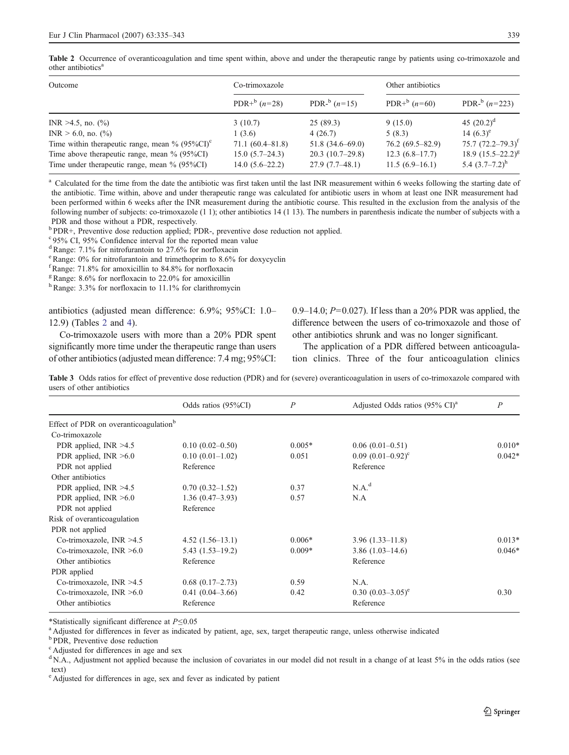<span id="page-4-0"></span>

|                                | Table 2 Occurrence of overanticoagulation and time spent within, above and under the therapeutic range by patients using co-trimoxazole and |  |  |  |  |  |  |  |  |
|--------------------------------|---------------------------------------------------------------------------------------------------------------------------------------------|--|--|--|--|--|--|--|--|
| other antibiotics <sup>a</sup> |                                                                                                                                             |  |  |  |  |  |  |  |  |

| Outcome<br>Time within therapeutic range, mean % $(95\% \text{CI})^c$<br>Time above therapeutic range, mean % (95%CI) | Co-trimoxazole      |                    | Other antibiotics          |                        |  |
|-----------------------------------------------------------------------------------------------------------------------|---------------------|--------------------|----------------------------|------------------------|--|
|                                                                                                                       | PDR+ $^{b}$ (n=28)  | PDR- $^{b}$ (n=15) | PDR <sup>+b</sup> $(n=60)$ | PDR- $^{b}$ (n=223)    |  |
| INR $>4.5$ , no. $(\% )$                                                                                              | 3(10.7)             | 25(89.3)           | 9(15.0)                    | 45 $(20.2)^d$          |  |
| $INR > 6.0$ , no. $\binom{0}{0}$                                                                                      | 1(3.6)              | 4(26.7)            | 5(8.3)                     | 14 $(6.3)^e$           |  |
|                                                                                                                       | $71.1(60.4 - 81.8)$ | 51.8(34.6–69.0)    | $76.2(69.5 - 82.9)$        | 75.7 $(72.2 - 79.3)^t$ |  |
|                                                                                                                       | $15.0(5.7-24.3)$    | $20.3(10.7-29.8)$  | $12.3(6.8-17.7)$           | 18.9 $(15.5-22.2)^{g}$ |  |
| Time under therapeutic range, mean % (95%CI)                                                                          | $14.0(5.6-22.2)$    | $27.9(7.7-48.1)$   | $11.5(6.9-16.1)$           | 5.4 $(3.7-7.2)^h$      |  |

<sup>a</sup> Calculated for the time from the date the antibiotic was first taken until the last INR measurement within 6 weeks following the starting date of the antibiotic. Time within, above and under therapeutic range was calculated for antibiotic users in whom at least one INR measurement had been performed within 6 weeks after the INR measurement during the antibiotic course. This resulted in the exclusion from the analysis of the following number of subjects: co-trimoxazole (1 1); other antibiotics 14 (1 13). The numbers in parenthesis indicate the number of subjects with a PDR and those without a PDR, respectively.

<sup>b</sup> PDR+, Preventive dose reduction applied; PDR-, preventive dose reduction not applied.

c 95% CI, 95% Confidence interval for the reported mean value

 $d$ Range: 7.1% for nitrofurantoin to 27.6% for norfloxacin

 $e$ Range:  $0\%$  for nitrofurantoin and trimethoprim to 8.6% for doxycyclin

f Range: 71.8% for amoxicillin to 84.8% for norfloxacin

 $\textdegree$ Range: 8.6% for norfloxacin to 22.0% for amoxicillin

 $h$ Range: 3.3% for norfloxacin to 11.1% for clarithromycin

antibiotics (adjusted mean difference: 6.9%; 95%CI: 1.0– 12.9) (Tables 2 and [4](#page-5-0)).

Co-trimoxazole users with more than a 20% PDR spent significantly more time under the therapeutic range than users of other antibiotics (adjusted mean difference: 7.4 mg; 95%CI: 0.9–14.0;  $P=0.027$ ). If less than a 20% PDR was applied, the difference between the users of co-trimoxazole and those of other antibiotics shrunk and was no longer significant.

The application of a PDR differed between anticoagulation clinics. Three of the four anticoagulation clinics

Table 3 Odds ratios for effect of preventive dose reduction (PDR) and for (severe) overanticoagulation in users of co-trimoxazole compared with users of other antibiotics

|                                                   | Odds ratios (95%CI) | $\overline{P}$ | Adjusted Odds ratios $(95\% \text{ CI})^{\text{a}}$ | $\boldsymbol{P}$ |
|---------------------------------------------------|---------------------|----------------|-----------------------------------------------------|------------------|
| Effect of PDR on overanticoagulation <sup>b</sup> |                     |                |                                                     |                  |
| Co-trimoxazole                                    |                     |                |                                                     |                  |
| PDR applied, $INR > 4.5$                          | $0.10(0.02 - 0.50)$ | $0.005*$       | $0.06(0.01-0.51)$                                   | $0.010*$         |
| PDR applied, $INR > 6.0$                          | $0.10(0.01-1.02)$   | 0.051          | $0.09$ $(0.01-0.92)^c$                              | $0.042*$         |
| PDR not applied                                   | Reference           |                | Reference                                           |                  |
| Other antibiotics                                 |                     |                |                                                     |                  |
| PDR applied, $INR > 4.5$                          | $0.70(0.32 - 1.52)$ | 0.37           | N.A. <sup>d</sup>                                   |                  |
| PDR applied, $INR > 6.0$                          | $1.36(0.47-3.93)$   | 0.57           | N.A                                                 |                  |
| PDR not applied                                   | Reference           |                |                                                     |                  |
| Risk of overanticoagulation                       |                     |                |                                                     |                  |
| PDR not applied                                   |                     |                |                                                     |                  |
| Co-trimoxazole, INR >4.5                          | $4.52(1.56-13.1)$   | $0.006*$       | $3.96(1.33 - 11.8)$                                 | $0.013*$         |
| Co-trimoxazole, $INR > 6.0$                       | $5.43(1.53-19.2)$   | $0.009*$       | $3.86(1.03-14.6)$                                   | $0.046*$         |
| Other antibiotics                                 | Reference           |                | Reference                                           |                  |
| PDR applied                                       |                     |                |                                                     |                  |
| Co-trimoxazole, $INR > 4.5$                       | $0.68(0.17-2.73)$   | 0.59           | N.A.                                                |                  |
| Co-trimoxazole, $INR > 6.0$                       | $0.41(0.04-3.66)$   | 0.42           | $0.30(0.03-3.05)^e$                                 | 0.30             |
| Other antibiotics                                 | Reference           |                | Reference                                           |                  |

\*Statistically significant difference at  $P \le 0.05$ <br><sup>a</sup> Adjusted for differences in fever as indicated by patient, age, sex, target therapeutic range, unless otherwise indicated

<sup>b</sup> PDR, Preventive dose reduction

<sup>c</sup> Adjusted for differences in age and sex

 $d$  N.A., Adjustment not applied because the inclusion of covariates in our model did not result in a change of at least 5% in the odds ratios (see text)

<sup>e</sup> Adjusted for differences in age, sex and fever as indicated by patient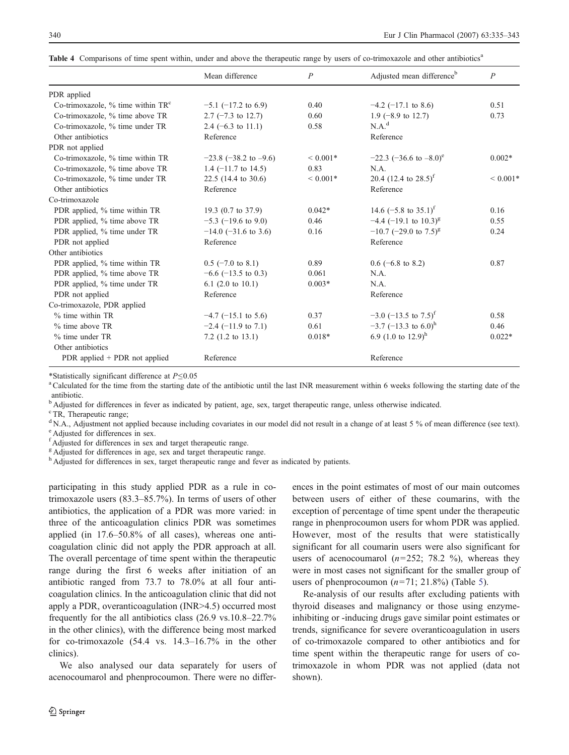|                                                  | Mean difference                | $\boldsymbol{P}$ | Adjusted mean difference <sup>b</sup> | $\overline{P}$ |
|--------------------------------------------------|--------------------------------|------------------|---------------------------------------|----------------|
| PDR applied                                      |                                |                  |                                       |                |
| Co-trimoxazole, $\%$ time within TR <sup>c</sup> | $-5.1$ ( $-17.2$ to 6.9)       | 0.40             | $-4.2$ (-17.1 to 8.6)                 | 0.51           |
| Co-trimoxazole, % time above TR                  | $2.7$ (-7.3 to 12.7)           | 0.60             | $1.9$ (-8.9 to 12.7)                  | 0.73           |
| Co-trimoxazole, % time under TR                  | 2.4 $(-6.3 \text{ to } 11.1)$  | 0.58             | N.A. <sup>d</sup>                     |                |
| Other antibiotics                                | Reference                      |                  | Reference                             |                |
| PDR not applied                                  |                                |                  |                                       |                |
| Co-trimoxazole, % time within TR                 | $-23.8$ ( $-38.2$ to $-9.6$ )  | $< 0.001*$       | $-22.3$ (-36.6 to -8.0) <sup>e</sup>  | $0.002*$       |
| Co-trimoxazole, % time above TR                  | 1.4 $(-11.7 \text{ to } 14.5)$ | 0.83             | N.A.                                  |                |
| Co-trimoxazole, % time under TR                  | 22.5 $(14.4 \text{ to } 30.6)$ | ${}< 0.001*$     | 20.4 $(12.4 \text{ to } 28.5)^{t}$    | $< 0.001*$     |
| Other antibiotics                                | Reference                      |                  | Reference                             |                |
| Co-trimoxazole                                   |                                |                  |                                       |                |
| PDR applied, % time within TR                    | 19.3 $(0.7 \text{ to } 37.9)$  | $0.042*$         | 14.6 $(-5.8 \text{ to } 35.1)^t$      | 0.16           |
| PDR applied, % time above TR                     | $-5.3$ (-19.6 to 9.0)          | 0.46             | $-4.4$ (-19.1 to 10.3) <sup>g</sup>   | 0.55           |
| PDR applied, % time under TR                     | $-14.0$ ( $-31.6$ to 3.6)      | 0.16             | $-10.7$ (-29.0 to 7.5) <sup>g</sup>   | 0.24           |
| PDR not applied                                  | Reference                      |                  | Reference                             |                |
| Other antibiotics                                |                                |                  |                                       |                |
| PDR applied, % time within TR                    | $0.5$ (-7.0 to 8.1)            | 0.89             | $0.6$ (-6.8 to 8.2)                   | 0.87           |
| PDR applied, % time above TR                     | $-6.6$ (-13.5 to 0.3)          | 0.061            | N.A.                                  |                |
| PDR applied, % time under TR                     | $6.1$ (2.0 to 10.1)            | $0.003*$         | N.A.                                  |                |
| PDR not applied                                  | Reference                      |                  | Reference                             |                |
| Co-trimoxazole, PDR applied                      |                                |                  |                                       |                |
| % time within TR                                 | $-4.7$ (-15.1 to 5.6)          | 0.37             | $-3.0$ (-13.5 to 7.5) <sup>f</sup>    | 0.58           |
| % time above TR                                  | $-2.4$ ( $-11.9$ to 7.1)       | 0.61             | $-3.7$ (-13.3 to 6.0) <sup>h</sup>    | 0.46           |
| $%$ time under TR                                | 7.2 $(1.2 \text{ to } 13.1)$   | $0.018*$         | 6.9 $(1.0 \text{ to } 12.9)^h$        | $0.022*$       |
| Other antibiotics                                |                                |                  |                                       |                |
| PDR applied $+$ PDR not applied                  | Reference                      |                  | Reference                             |                |

<span id="page-5-0"></span>Table 4 Comparisons of time spent within, under and above the therapeutic range by users of co-trimoxazole and other antibiotics<sup>a</sup>

\*Statistically significant difference at  $P \le 0.05$ <br><sup>a</sup>Calculated for the time from the starting date of the antibiotic until the last INR measurement within 6 weeks following the starting date of the antibiotic.

<sup>b</sup> Adjusted for differences in fever as indicated by patient, age, sex, target therapeutic range, unless otherwise indicated.

<sup>c</sup> TR, Therapeutic range;

<sup>d</sup> N.A., Adjustment not applied because including covariates in our model did not result in a change of at least  $5\%$  of mean difference (see text).

e Adjusted for differences in sex.

f Adjusted for differences in sex and target therapeutic range.

<sup>g</sup> Adjusted for differences in age, sex and target therapeutic range.

<sup>h</sup> Adjusted for differences in sex, target therapeutic range and fever as indicated by patients.

participating in this study applied PDR as a rule in cotrimoxazole users (83.3–85.7%). In terms of users of other antibiotics, the application of a PDR was more varied: in three of the anticoagulation clinics PDR was sometimes applied (in 17.6–50.8% of all cases), whereas one anticoagulation clinic did not apply the PDR approach at all. The overall percentage of time spent within the therapeutic range during the first 6 weeks after initiation of an antibiotic ranged from 73.7 to 78.0% at all four anticoagulation clinics. In the anticoagulation clinic that did not apply a PDR, overanticoagulation (INR>4.5) occurred most frequently for the all antibiotics class (26.9 vs.10.8–22.7% in the other clinics), with the difference being most marked for co-trimoxazole (54.4 vs. 14.3–16.7% in the other clinics).

We also analysed our data separately for users of acenocoumarol and phenprocoumon. There were no differences in the point estimates of most of our main outcomes between users of either of these coumarins, with the exception of percentage of time spent under the therapeutic range in phenprocoumon users for whom PDR was applied. However, most of the results that were statistically significant for all coumarin users were also significant for users of acenocoumarol  $(n=252; 78.2 \%)$ , whereas they were in most cases not significant for the smaller group of users of phenprocoumon  $(n=71; 21.8\%)$  (Table [5](#page-6-0)).

Re-analysis of our results after excluding patients with thyroid diseases and malignancy or those using enzymeinhibiting or -inducing drugs gave similar point estimates or trends, significance for severe overanticoagulation in users of co-trimoxazole compared to other antibiotics and for time spent within the therapeutic range for users of cotrimoxazole in whom PDR was not applied (data not shown).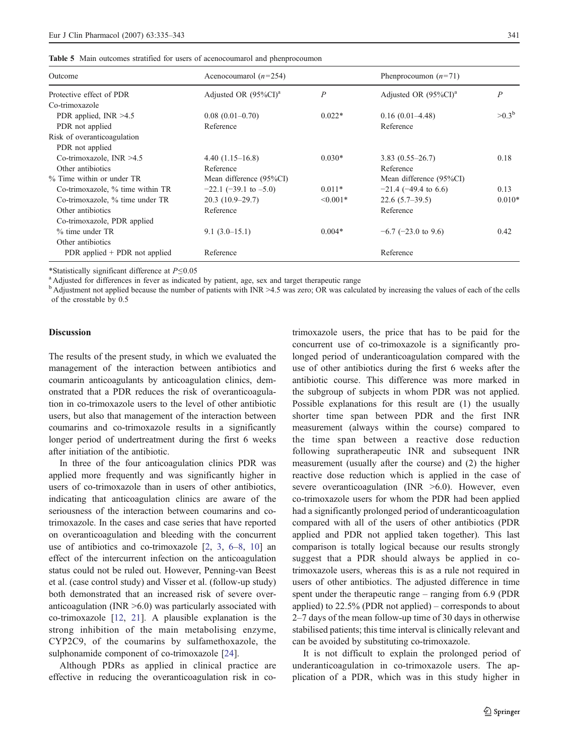<span id="page-6-0"></span>

|  |  |  |  |  |  |  | Table 5 Main outcomes stratified for users of acenocoumarol and phenprocoumon |  |  |  |
|--|--|--|--|--|--|--|-------------------------------------------------------------------------------|--|--|--|
|--|--|--|--|--|--|--|-------------------------------------------------------------------------------|--|--|--|

| Outcome                          | Acenocoumarol $(n=254)$  |            | Phenprocoumon $(n=71)$   |                |  |  |
|----------------------------------|--------------------------|------------|--------------------------|----------------|--|--|
| Protective effect of PDR         | Adjusted OR $(95\%CI)^a$ | P          | Adjusted OR $(95\%CI)^a$ | $\overline{P}$ |  |  |
| Co-trimoxazole                   |                          |            |                          |                |  |  |
| PDR applied, $INR > 4.5$         | $0.08(0.01-0.70)$        | $0.022*$   | $0.16(0.01-4.48)$        | $>0.3^{b}$     |  |  |
| PDR not applied                  | Reference                |            | Reference                |                |  |  |
| Risk of overanticoagulation      |                          |            |                          |                |  |  |
| PDR not applied                  |                          |            |                          |                |  |  |
| Co-trimoxazole, INR >4.5         | $4.40(1.15-16.8)$        | $0.030*$   | $3.83(0.55-26.7)$        | 0.18           |  |  |
| Other antibiotics                | Reference                |            | Reference                |                |  |  |
| % Time within or under TR        | Mean difference (95%CI)  |            | Mean difference (95%CI)  |                |  |  |
| Co-trimoxazole, % time within TR | $-22.1$ (-39.1 to -5.0)  | $0.011*$   | $-21.4$ (-49.4 to 6.6)   | 0.13           |  |  |
| Co-trimoxazole, % time under TR  | $20.3(10.9-29.7)$        | $< 0.001*$ | $22.6(5.7-39.5)$         | $0.010*$       |  |  |
| Other antibiotics                | Reference                |            | Reference                |                |  |  |
| Co-trimoxazole, PDR applied      |                          |            |                          |                |  |  |
| $%$ time under TR                | $9.1(3.0-15.1)$          | $0.004*$   | $-6.7$ (-23.0 to 9.6)    | 0.42           |  |  |
| Other antibiotics                |                          |            |                          |                |  |  |
| PDR applied $+$ PDR not applied  | Reference                |            | Reference                |                |  |  |

\*Statistically significant difference at  $P \le 0.05$ <br><sup>a</sup> Adjusted for differences in fever as indicated by patient, age, sex and target therapeutic range

<sup>b</sup> Adjustment not applied because the number of patients with INR >4.5 was zero; OR was calculated by increasing the values of each of the cells of the crosstable by 0.5

## **Discussion**

The results of the present study, in which we evaluated the management of the interaction between antibiotics and coumarin anticoagulants by anticoagulation clinics, demonstrated that a PDR reduces the risk of overanticoagulation in co-trimoxazole users to the level of other antibiotic users, but also that management of the interaction between coumarins and co-trimoxazole results in a significantly longer period of undertreatment during the first 6 weeks after initiation of the antibiotic.

In three of the four anticoagulation clinics PDR was applied more frequently and was significantly higher in users of co-trimoxazole than in users of other antibiotics, indicating that anticoagulation clinics are aware of the seriousness of the interaction between coumarins and cotrimoxazole. In the cases and case series that have reported on overanticoagulation and bleeding with the concurrent use of antibiotics and co-trimoxazole [[2,](#page-7-0) [3](#page-7-0), [6](#page-7-0)–[8](#page-7-0), [10\]](#page-7-0) an effect of the intercurrent infection on the anticoagulation status could not be ruled out. However, Penning-van Beest et al. (case control study) and Visser et al. (follow-up study) both demonstrated that an increased risk of severe overanticoagulation ( $INR > 6.0$ ) was particularly associated with co-trimoxazole [\[12](#page-7-0), [21\]](#page-7-0). A plausible explanation is the strong inhibition of the main metabolising enzyme, CYP2C9, of the coumarins by sulfamethoxazole, the sulphonamide component of co-trimoxazole [[24\]](#page-8-0).

Although PDRs as applied in clinical practice are effective in reducing the overanticoagulation risk in cotrimoxazole users, the price that has to be paid for the concurrent use of co-trimoxazole is a significantly prolonged period of underanticoagulation compared with the use of other antibiotics during the first 6 weeks after the antibiotic course. This difference was more marked in the subgroup of subjects in whom PDR was not applied. Possible explanations for this result are (1) the usually shorter time span between PDR and the first INR measurement (always within the course) compared to the time span between a reactive dose reduction following supratherapeutic INR and subsequent INR measurement (usually after the course) and (2) the higher reactive dose reduction which is applied in the case of severe overanticoagulation (INR >6.0). However, even co-trimoxazole users for whom the PDR had been applied had a significantly prolonged period of underanticoagulation compared with all of the users of other antibiotics (PDR applied and PDR not applied taken together). This last comparison is totally logical because our results strongly suggest that a PDR should always be applied in cotrimoxazole users, whereas this is as a rule not required in users of other antibiotics. The adjusted difference in time spent under the therapeutic range – ranging from 6.9 (PDR applied) to 22.5% (PDR not applied) – corresponds to about 2–7 days of the mean follow-up time of 30 days in otherwise stabilised patients; this time interval is clinically relevant and can be avoided by substituting co-trimoxazole.

It is not difficult to explain the prolonged period of underanticoagulation in co-trimoxazole users. The application of a PDR, which was in this study higher in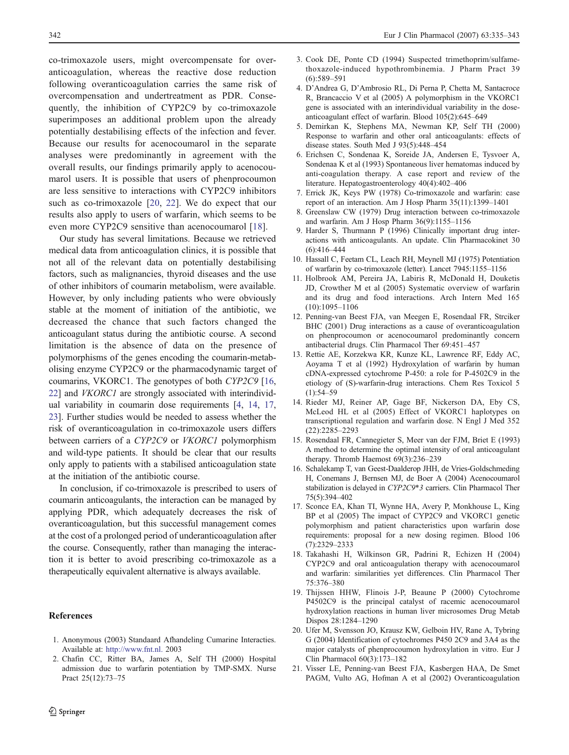<span id="page-7-0"></span>co-trimoxazole users, might overcompensate for overanticoagulation, whereas the reactive dose reduction following overanticoagulation carries the same risk of overcompensation and undertreatment as PDR. Consequently, the inhibition of CYP2C9 by co-trimoxazole superimposes an additional problem upon the already potentially destabilising effects of the infection and fever. Because our results for acenocoumarol in the separate analyses were predominantly in agreement with the overall results, our findings primarily apply to acenocoumarol users. It is possible that users of phenprocoumon are less sensitive to interactions with CYP2C9 inhibitors such as co-trimoxazole [20, [22](#page-8-0)]. We do expect that our results also apply to users of warfarin, which seems to be even more CYP2C9 sensitive than acenocoumarol [18].

Our study has several limitations. Because we retrieved medical data from anticoagulation clinics, it is possible that not all of the relevant data on potentially destabilising factors, such as malignancies, thyroid diseases and the use of other inhibitors of coumarin metabolism, were available. However, by only including patients who were obviously stable at the moment of initiation of the antibiotic, we decreased the chance that such factors changed the anticoagulant status during the antibiotic course. A second limitation is the absence of data on the presence of polymorphisms of the genes encoding the coumarin-metabolising enzyme CYP2C9 or the pharmacodynamic target of coumarins, VKORC1. The genotypes of both CYP2C9 [16, [22\]](#page-8-0) and VKORC1 are strongly associated with interindividual variability in coumarin dose requirements [4, 14, 17, [23\]](#page-8-0). Further studies would be needed to assess whether the risk of overanticoagulation in co-trimoxazole users differs between carriers of a CYP2C9 or *VKORC1* polymorphism and wild-type patients. It should be clear that our results only apply to patients with a stabilised anticoagulation state at the initiation of the antibiotic course.

In conclusion, if co-trimoxazole is prescribed to users of coumarin anticoagulants, the interaction can be managed by applying PDR, which adequately decreases the risk of overanticoagulation, but this successful management comes at the cost of a prolonged period of underanticoagulation after the course. Consequently, rather than managing the interaction it is better to avoid prescribing co-trimoxazole as a therapeutically equivalent alternative is always available.

## References

- 1. Anonymous (2003) Standaard Afhandeling Cumarine Interacties. Available at: <http://www.fnt.nl.> 2003
- 2. Chafin CC, Ritter BA, James A, Self TH (2000) Hospital admission due to warfarin potentiation by TMP-SMX. Nurse Pract 25(12):73–75
- 3. Cook DE, Ponte CD (1994) Suspected trimethoprim/sulfamethoxazole-induced hypothrombinemia. J Pharm Pract 39 (6):589–591
- 4. D'Andrea G, D'Ambrosio RL, Di Perna P, Chetta M, Santacroce R, Brancaccio V et al (2005) A polymorphism in the VKORC1 gene is associated with an interindividual variability in the doseanticoagulant effect of warfarin. Blood 105(2):645–649
- 5. Demirkan K, Stephens MA, Newman KP, Self TH (2000) Response to warfarin and other oral anticoagulants: effects of disease states. South Med J 93(5):448–454
- 6. Erichsen C, Sondenaa K, Soreide JA, Andersen E, Tysvoer A, Sondenaa K et al (1993) Spontaneous liver hematomas induced by anti-coagulation therapy. A case report and review of the literature. Hepatogastroenterology 40(4):402–406
- 7. Errick JK, Keys PW (1978) Co-trimoxazole and warfarin: case report of an interaction. Am J Hosp Pharm 35(11):1399–1401
- 8. Greenslaw CW (1979) Drug interaction between co-trimoxazole and warfarin. Am J Hosp Pharm 36(9):1155–1156
- 9. Harder S, Thurmann P (1996) Clinically important drug interactions with anticoagulants. An update. Clin Pharmacokinet 30 (6):416–444
- 10. Hassall C, Feetam CL, Leach RH, Meynell MJ (1975) Potentiation of warfarin by co-trimoxazole (letter). Lancet 7945:1155–1156
- 11. Holbrook AM, Pereira JA, Labiris R, McDonald H, Douketis JD, Crowther M et al (2005) Systematic overview of warfarin and its drug and food interactions. Arch Intern Med 165 (10):1095–1106
- 12. Penning-van Beest FJA, van Meegen E, Rosendaal FR, Strciker BHC (2001) Drug interactions as a cause of overanticoagulation on phenprocoumon or acenocoumarol predominantly concern antibacterial drugs. Clin Pharmacol Ther 69:451–457
- 13. Rettie AE, Korzekwa KR, Kunze KL, Lawrence RF, Eddy AC, Aoyama T et al (1992) Hydroxylation of warfarin by human cDNA-expressed cytochrome P-450: a role for P-4502C9 in the etiology of (S)-warfarin-drug interactions. Chem Res Toxicol 5  $(1):54-59$
- 14. Rieder MJ, Reiner AP, Gage BF, Nickerson DA, Eby CS, McLeod HL et al (2005) Effect of VKORC1 haplotypes on transcriptional regulation and warfarin dose. N Engl J Med 352 (22):2285–2293
- 15. Rosendaal FR, Cannegieter S, Meer van der FJM, Briet E (1993) A method to determine the optimal intensity of oral anticoagulant therapy. Thromb Haemost 69(3):236–239
- 16. Schalekamp T, van Geest-Daalderop JHH, de Vries-Goldschmeding H, Conemans J, Bernsen MJ, de Boer A (2004) Acenocoumarol stabilization is delayed in CYP2C9\*3 carriers. Clin Pharmacol Ther 75(5):394–402
- 17. Sconce EA, Khan TI, Wynne HA, Avery P, Monkhouse L, King BP et al (2005) The impact of CYP2C9 and VKORC1 genetic polymorphism and patient characteristics upon warfarin dose requirements: proposal for a new dosing regimen. Blood 106 (7):2329–2333
- 18. Takahashi H, Wilkinson GR, Padrini R, Echizen H (2004) CYP2C9 and oral anticoagulation therapy with acenocoumarol and warfarin: similarities yet differences. Clin Pharmacol Ther 75:376–380
- 19. Thijssen HHW, Flinois J-P, Beaune P (2000) Cytochrome P4502C9 is the principal catalyst of racemic acenocoumarol hydroxylation reactions in human liver microsomes Drug Metab Dispos 28:1284–1290
- 20. Ufer M, Svensson JO, Krausz KW, Gelboin HV, Rane A, Tybring G (2004) Identification of cytochromes P450 2C9 and 3A4 as the major catalysts of phenprocoumon hydroxylation in vitro. Eur J Clin Pharmacol 60(3):173–182
- 21. Visser LE, Penning-van Beest FJA, Kasbergen HAA, De Smet PAGM, Vulto AG, Hofman A et al (2002) Overanticoagulation